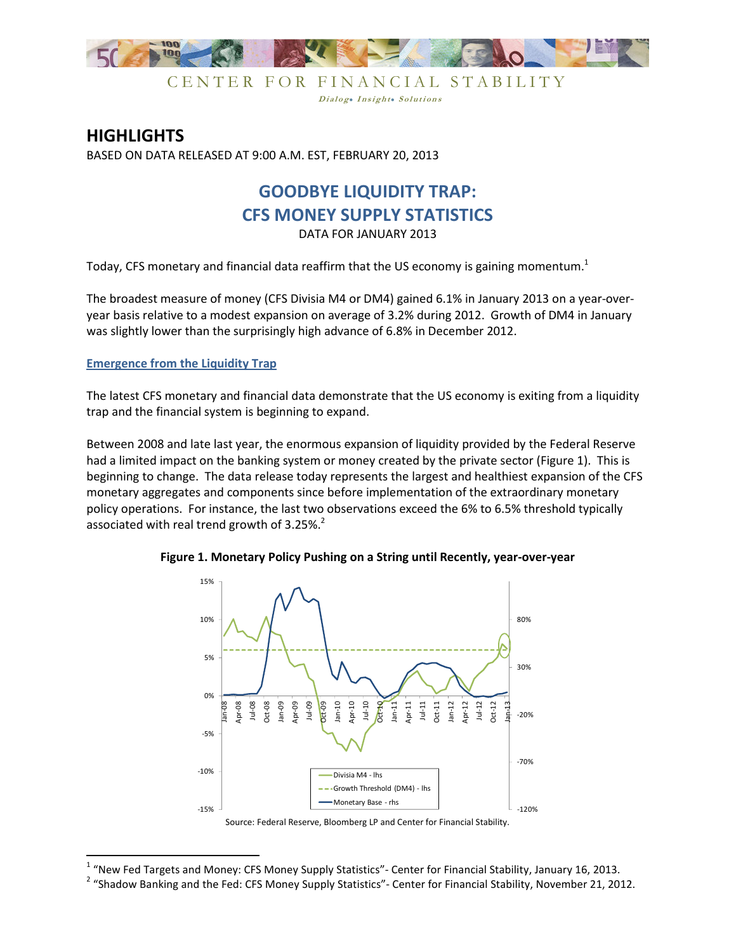

CENTER FOR FINANCIAL STABILITY Dialog. Insight. Solutions

# **HIGHLIGHTS** BASED ON DATA RELEASED AT 9:00 A.M. EST, FEBRUARY 20, 2013

# **GOODBYE LIQUIDITY TRAP: CFS MONEY SUPPLY STATISTICS**

DATA FOR JANUARY 2013

Today, CFS monetary and financial data reaffirm that the US economy is gaining momentum.<sup>1</sup>

The broadest measure of money (CFS Divisia M4 or DM4) gained 6.1% in January 2013 on a year-overyear basis relative to a modest expansion on average of 3.2% during 2012. Growth of DM4 in January was slightly lower than the surprisingly high advance of 6.8% in December 2012.

# **Emergence from the Liquidity Trap**

-

The latest CFS monetary and financial data demonstrate that the US economy is exiting from a liquidity trap and the financial system is beginning to expand.

Between 2008 and late last year, the enormous expansion of liquidity provided by the Federal Reserve had a limited impact on the banking system or money created by the private sector (Figure 1). This is beginning to change. The data release today represents the largest and healthiest expansion of the CFS monetary aggregates and components since before implementation of the extraordinary monetary policy operations. For instance, the last two observations exceed the 6% to 6.5% threshold typically associated with real trend growth of 3.25%.<sup>2</sup>





Source: Federal Reserve, Bloomberg LP and Center for Financial Stability.

 $1$  "New Fed Targets and Money: CFS Money Supply Statistics"- Center for Financial Stability, January 16, 2013.

<sup>&</sup>lt;sup>2</sup> "Shadow Banking and the Fed: CFS Money Supply Statistics"- Center for Financial Stability, November 21, 2012.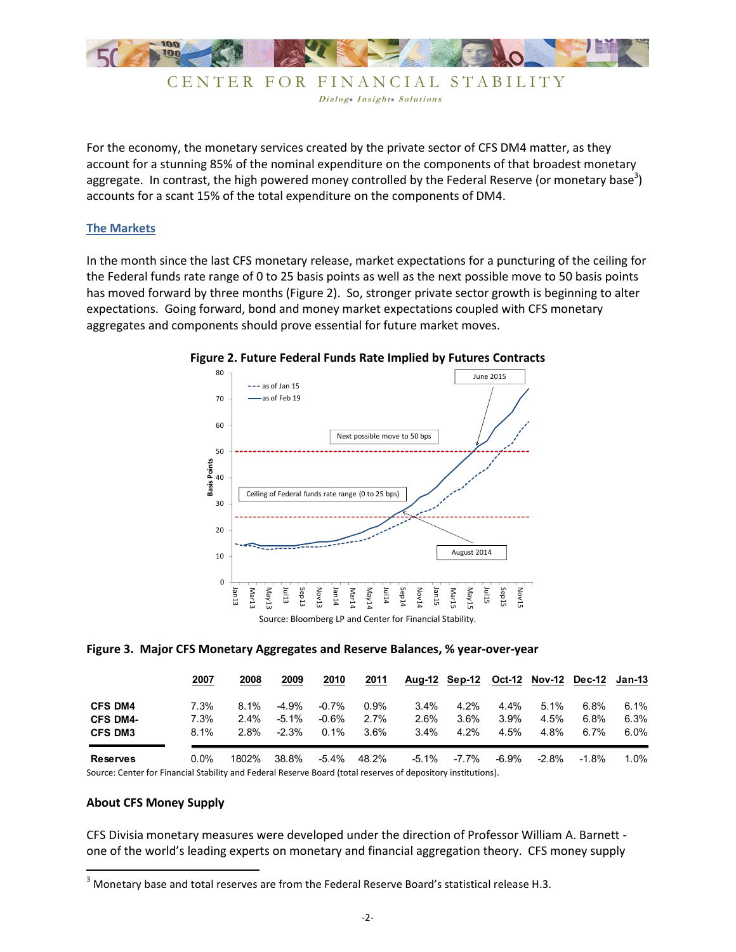

Dialog. Insight. Solutions

For the economy, the monetary services created by the private sector of CFS DM4 matter, as they account for a stunning 85% of the nominal expenditure on the components of that broadest monetary aggregate. In contrast, the high powered money controlled by the Federal Reserve (or monetary base<sup>3</sup>) accounts for a scant 15% of the total expenditure on the components of DM4.

## **The Markets**

In the month since the last CFS monetary release, market expectations for a puncturing of the ceiling for the Federal funds rate range of 0 to 25 basis points as well as the next possible move to 50 basis points has moved forward by three months (Figure 2). So, stronger private sector growth is beginning to alter expectations. Going forward, bond and money market expectations coupled with CFS monetary aggregates and components should prove essential for future market moves.



#### **Figure 2. Future Federal Funds Rate Implied by Futures Contracts**

### **Figure 3. Major CFS Monetary Aggregates and Reserve Balances, % year-over-year**

|                                   | 2007         | 2008               | 2009                | 2010               | 2011            |                 | Aug-12 Sep-12      | <b>Oct-12</b>   | Nov-12 Dec-12 |                 | Jan-13       |
|-----------------------------------|--------------|--------------------|---------------------|--------------------|-----------------|-----------------|--------------------|-----------------|---------------|-----------------|--------------|
| <b>CFS DM4</b>                    | 7.3%         | $8.1\%$            | $-4.9\%$            | $-0.7%$            | $0.9\%$         | $3.4\%$         | $4.2\%$            | $4.4\%$         | 5.1%          | 6.8%            | 6.1%         |
| <b>CFS DM4-</b><br><b>CFS DM3</b> | 7.3%<br>8.1% | $2.4\%$<br>$2.8\%$ | $-5.1\%$<br>$-2.3%$ | $-0.6%$<br>$0.1\%$ | 2.7%<br>$3.6\%$ | 2.6%<br>$3.4\%$ | $3.6\%$<br>$4.2\%$ | $3.9\%$<br>4.5% | 4.5%<br>4.8%  | 6.8%<br>$6.7\%$ | 6.3%<br>6.0% |
| <b>Reserves</b>                   | $0.0\%$      | 1802%              | 38.8%               | $-5.4\%$           | 48.2%           | $-5.1\%$        | $-7.7\%$           | -6.9%           | $-2.8%$       | $-1.8%$         | 1.0%         |

Source: Center for Financial Stability and Federal Reserve Board (total reserves of depository institutions).

### **About CFS Money Supply**

<u>.</u>

CFS Divisia monetary measures were developed under the direction of Professor William A. Barnett one of the world's leading experts on monetary and financial aggregation theory. CFS money supply

 $3$  Monetary base and total reserves are from the Federal Reserve Board's statistical release H.3.